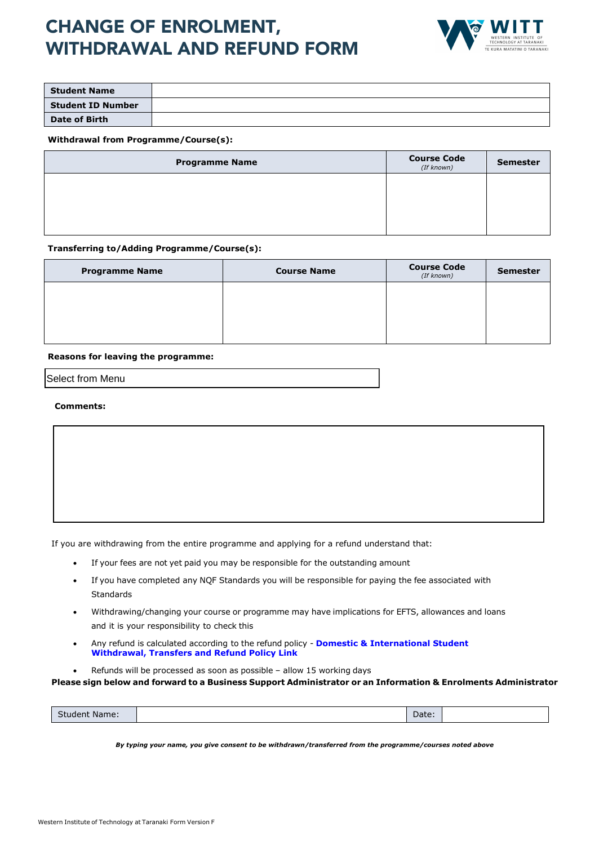# CHANGE OF ENROLMENT, WITHDRAWAL AND REFUND FORM



| <b>Student Name</b>      |  |
|--------------------------|--|
| <b>Student ID Number</b> |  |
| <b>Date of Birth</b>     |  |

#### **Withdrawal from Programme/Course(s):**

| <b>Programme Name</b> | <b>Course Code</b><br>(If known) | <b>Semester</b> |
|-----------------------|----------------------------------|-----------------|
|                       |                                  |                 |
|                       |                                  |                 |
|                       |                                  |                 |

#### **Transferring to/Adding Programme/Course(s):**

| <b>Programme Name</b> | <b>Course Name</b> | <b>Course Code</b><br>(If known) | <b>Semester</b> |
|-----------------------|--------------------|----------------------------------|-----------------|
|                       |                    |                                  |                 |
|                       |                    |                                  |                 |
|                       |                    |                                  |                 |

#### **Reasons for leaving the programme:**

Select from Menu

#### **Comments:**

- If you are withdrawing from the entire programme and applying for a refund understand that:
	- If your fees are not yet paid you may be responsible for the outstanding amount
	- If you have completed any NQF Standards you will be responsible for paying the fee associated with Standards
	- Withdrawing/changing your course or programme may have implications for EFTS, allowances and loans and it is your responsibility to check this
	- Any refund is calculated according to the refund policy **Domestic & International Student [Withdrawal, Transfers and Refund Policy](http://iwitt/QMS/Corporate/Domestic%20and%20International%20Students%20Withdrawal,%20Transfers%20and%20Refund.docx) Link**
		- Refunds will be processed as soon as possible allow 15 working days

**Please sign below and forward to a Business Support Administrator or an Information & Enrolments Administrator**

| Date:<br><b>Student Name:</b> |
|-------------------------------|
|-------------------------------|

*By typing your name, you give consent to be withdrawn/transferred from the programme/courses noted above*